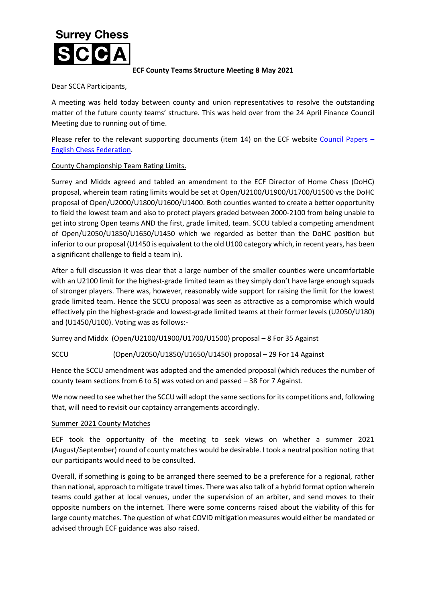## **Surrey Chess**

## **ECF County Teams Structure Meeting 8 May 2021**

Dear SCCA Participants,

A meeting was held today between county and union representatives to resolve the outstanding matter of the future county teams' structure. This was held over from the 24 April Finance Council Meeting due to running out of time.

Please refer to the relevant supporting documents (item 14) on the ECF website [Council Papers](https://www.englishchess.org.uk/about/ecf-council-and-board/) -[English Chess Federation.](https://www.englishchess.org.uk/about/ecf-council-and-board/)

## County Championship Team Rating Limits.

Surrey and Middx agreed and tabled an amendment to the ECF Director of Home Chess (DoHC) proposal, wherein team rating limits would be set at Open/U2100/U1900/U1700/U1500 vs the DoHC proposal of Open/U2000/U1800/U1600/U1400. Both counties wanted to create a better opportunity to field the lowest team and also to protect players graded between 2000-2100 from being unable to get into strong Open teams AND the first, grade limited, team. SCCU tabled a competing amendment of Open/U2050/U1850/U1650/U1450 which we regarded as better than the DoHC position but inferior to our proposal (U1450 is equivalent to the old U100 category which, in recent years, has been a significant challenge to field a team in).

After a full discussion it was clear that a large number of the smaller counties were uncomfortable with an U2100 limit for the highest-grade limited team as they simply don't have large enough squads of stronger players. There was, however, reasonably wide support for raising the limit for the lowest grade limited team. Hence the SCCU proposal was seen as attractive as a compromise which would effectively pin the highest-grade and lowest-grade limited teams at their former levels (U2050/U180) and (U1450/U100). Voting was as follows:-

Surrey and Middx (Open/U2100/U1900/U1700/U1500) proposal – 8 For 35 Against

SCCU (Open/U2050/U1850/U1650/U1450) proposal – 29 For 14 Against

Hence the SCCU amendment was adopted and the amended proposal (which reduces the number of county team sections from 6 to 5) was voted on and passed – 38 For 7 Against.

We now need to see whether the SCCU will adopt the same sections for its competitions and, following that, will need to revisit our captaincy arrangements accordingly.

## Summer 2021 County Matches

ECF took the opportunity of the meeting to seek views on whether a summer 2021 (August/September) round of county matches would be desirable. I took a neutral position noting that our participants would need to be consulted.

Overall, if something is going to be arranged there seemed to be a preference for a regional, rather than national, approach to mitigate travel times. There was also talk of a hybrid format option wherein teams could gather at local venues, under the supervision of an arbiter, and send moves to their opposite numbers on the internet. There were some concerns raised about the viability of this for large county matches. The question of what COVID mitigation measures would either be mandated or advised through ECF guidance was also raised.